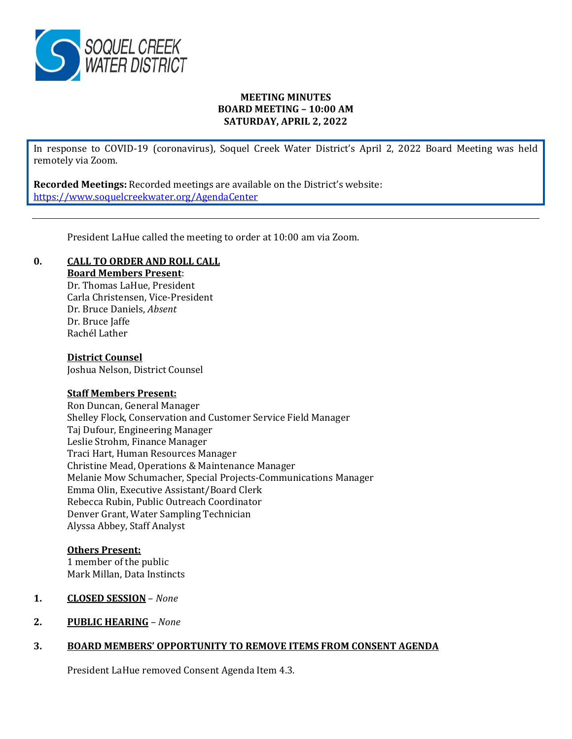

## **MEETING MINUTES BOARD MEETING – 10:00 AM SATURDAY, APRIL 2, 2022**

In response to COVID-19 (coronavirus), Soquel Creek Water District's April 2, 2022 Board Meeting was held remotely via Zoom.

**Recorded Meetings:** Recorded meetings are available on the District's website: <https://www.soquelcreekwater.org/AgendaCenter>

President LaHue called the meeting to order at 10:00 am via Zoom.

## **0. CALL TO ORDER AND ROLL CALL**

**Board Members Present**:

Dr. Thomas LaHue, President Carla Christensen, Vice-President Dr. Bruce Daniels, *Absent*  Dr. Bruce Jaffe Rachél Lather

#### **District Counsel**

Joshua Nelson, District Counsel

## **Staff Members Present:**

Ron Duncan, General Manager Shelley Flock, Conservation and Customer Service Field Manager Taj Dufour, Engineering Manager Leslie Strohm, Finance Manager Traci Hart, Human Resources Manager Christine Mead, Operations & Maintenance Manager Melanie Mow Schumacher, Special Projects-Communications Manager Emma Olin, Executive Assistant/Board Clerk Rebecca Rubin, Public Outreach Coordinator Denver Grant, Water Sampling Technician Alyssa Abbey, Staff Analyst

## **Others Present:**

1 member of the public Mark Millan, Data Instincts

## **1. CLOSED SESSION** – *None*

**2. PUBLIC HEARING** *– None* 

## **3. BOARD MEMBERS' OPPORTUNITY TO REMOVE ITEMS FROM CONSENT AGENDA**

President LaHue removed Consent Agenda Item 4.3.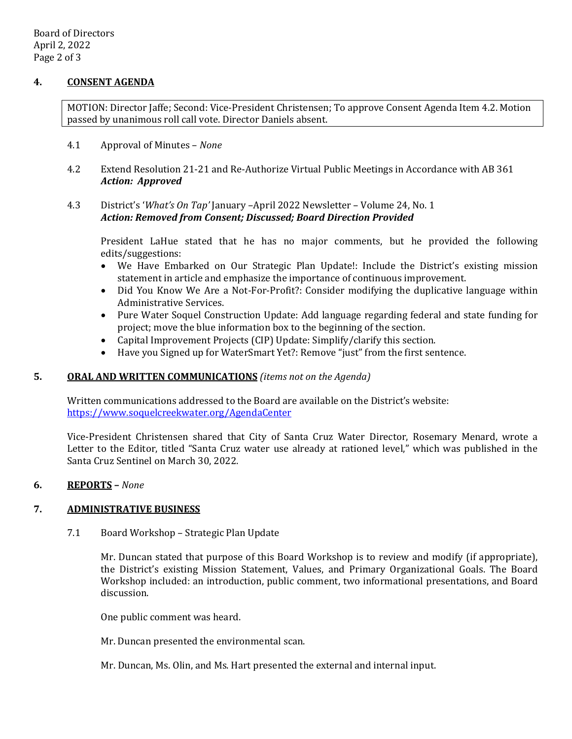## **4. CONSENT AGENDA**

MOTION: Director Jaffe; Second: Vice-President Christensen; To approve Consent Agenda Item 4.2. Motion passed by unanimous roll call vote. Director Daniels absent.

- 4.1 Approval of Minutes *None*
- 4.2 Extend Resolution 21-21 and Re-Authorize Virtual Public Meetings in Accordance with AB 361 *Action: Approved*

## 4.3 District's '*What's On Tap'* January –April 2022 Newsletter – Volume 24, No. 1 *Action: Removed from Consent; Discussed; Board Direction Provided*

President LaHue stated that he has no major comments, but he provided the following edits/suggestions:

- We Have Embarked on Our Strategic Plan Update!: Include the District's existing mission statement in article and emphasize the importance of continuous improvement.
- Did You Know We Are a Not-For-Profit?: Consider modifying the duplicative language within Administrative Services.
- Pure Water Soquel Construction Update: Add language regarding federal and state funding for project; move the blue information box to the beginning of the section.
- Capital Improvement Projects (CIP) Update: Simplify/clarify this section.
- Have you Signed up for WaterSmart Yet?: Remove "just" from the first sentence.

## **5. ORAL AND WRITTEN COMMUNICATIONS** *(items not on the Agenda)*

Written communications addressed to the Board are available on the District's website: <https://www.soquelcreekwater.org/AgendaCenter>

Vice-President Christensen shared that City of Santa Cruz Water Director, Rosemary Menard, wrote a Letter to the Editor, titled "Santa Cruz water use already at rationed level," which was published in the Santa Cruz Sentinel on March 30, 2022.

## **6. REPORTS –** *None*

# **7. ADMINISTRATIVE BUSINESS**

7.1 Board Workshop – Strategic Plan Update

Mr. Duncan stated that purpose of this Board Workshop is to review and modify (if appropriate), the District's existing Mission Statement, Values, and Primary Organizational Goals. The Board Workshop included: an introduction, public comment, two informational presentations, and Board discussion.

One public comment was heard.

Mr. Duncan presented the environmental scan.

Mr. Duncan, Ms. Olin, and Ms. Hart presented the external and internal input.